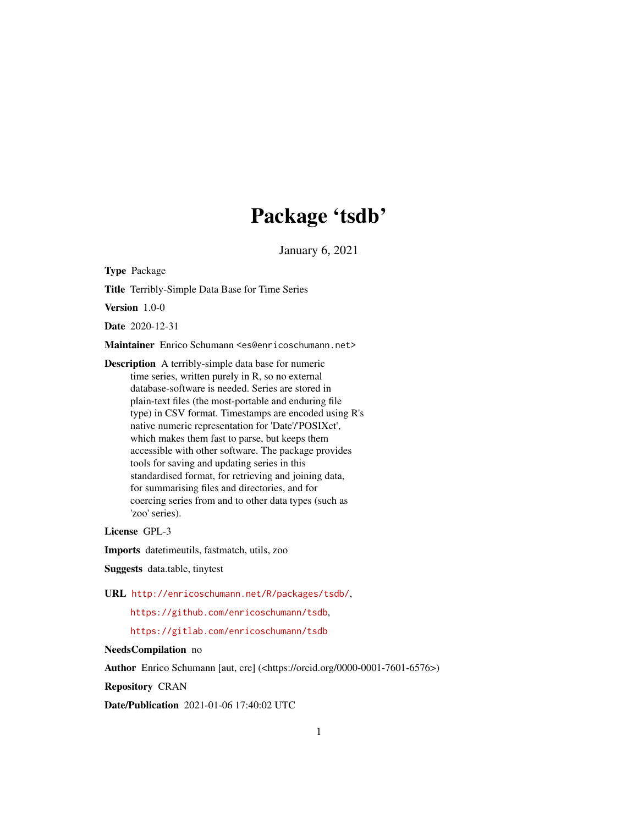## Package 'tsdb'

January 6, 2021

<span id="page-0-0"></span>Type Package

Title Terribly-Simple Data Base for Time Series

Version 1.0-0

Date 2020-12-31

Maintainer Enrico Schumann <es@enricoschumann.net>

Description A terribly-simple data base for numeric time series, written purely in R, so no external database-software is needed. Series are stored in plain-text files (the most-portable and enduring file type) in CSV format. Timestamps are encoded using R's native numeric representation for 'Date'/'POSIXct', which makes them fast to parse, but keeps them accessible with other software. The package provides tools for saving and updating series in this standardised format, for retrieving and joining data, for summarising files and directories, and for coercing series from and to other data types (such as 'zoo' series).

License GPL-3

Imports datetimeutils, fastmatch, utils, zoo

Suggests data.table, tinytest

URL <http://enricoschumann.net/R/packages/tsdb/>,

<https://github.com/enricoschumann/tsdb>,

<https://gitlab.com/enricoschumann/tsdb>

NeedsCompilation no

Author Enrico Schumann [aut, cre] (<https://orcid.org/0000-0001-7601-6576>)

Repository CRAN

Date/Publication 2021-01-06 17:40:02 UTC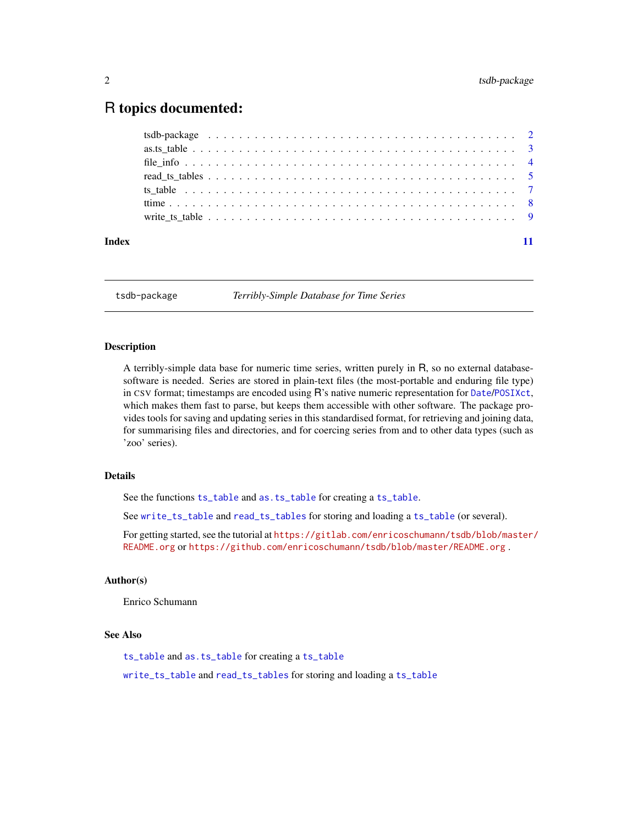### <span id="page-1-0"></span>R topics documented:

| Index |  |  |  |  |  |  |  |  |  |  |  |  |  |  |  |  |  |  |  |
|-------|--|--|--|--|--|--|--|--|--|--|--|--|--|--|--|--|--|--|--|
|       |  |  |  |  |  |  |  |  |  |  |  |  |  |  |  |  |  |  |  |
|       |  |  |  |  |  |  |  |  |  |  |  |  |  |  |  |  |  |  |  |
|       |  |  |  |  |  |  |  |  |  |  |  |  |  |  |  |  |  |  |  |
|       |  |  |  |  |  |  |  |  |  |  |  |  |  |  |  |  |  |  |  |
|       |  |  |  |  |  |  |  |  |  |  |  |  |  |  |  |  |  |  |  |
|       |  |  |  |  |  |  |  |  |  |  |  |  |  |  |  |  |  |  |  |
|       |  |  |  |  |  |  |  |  |  |  |  |  |  |  |  |  |  |  |  |

tsdb-package *Terribly-Simple Database for Time Series*

#### Description

A terribly-simple data base for numeric time series, written purely in R, so no external databasesoftware is needed. Series are stored in plain-text files (the most-portable and enduring file type) in CSV format; timestamps are encoded using R's native numeric representation for [Date](#page-0-0)/[POSIXct](#page-0-0), which makes them fast to parse, but keeps them accessible with other software. The package provides tools for saving and updating series in this standardised format, for retrieving and joining data, for summarising files and directories, and for coercing series from and to other data types (such as 'zoo' series).

#### Details

See the functions [ts\\_table](#page-6-1) and [as.ts\\_table](#page-2-1) for creating a [ts\\_table](#page-6-1).

See [write\\_ts\\_table](#page-8-1) and [read\\_ts\\_tables](#page-4-1) for storing and loading a [ts\\_table](#page-6-1) (or several).

For getting started, see the tutorial at [https://gitlab.com/enricoschumann/tsdb/blob/master/](https://gitlab.com/enricoschumann/tsdb/blob/master/README.org) [README.org](https://gitlab.com/enricoschumann/tsdb/blob/master/README.org) or <https://github.com/enricoschumann/tsdb/blob/master/README.org> .

#### Author(s)

Enrico Schumann

#### See Also

[ts\\_table](#page-6-1) and [as.ts\\_table](#page-2-1) for creating a [ts\\_table](#page-6-1)

[write\\_ts\\_table](#page-8-1) and [read\\_ts\\_tables](#page-4-1) for storing and loading a [ts\\_table](#page-6-1)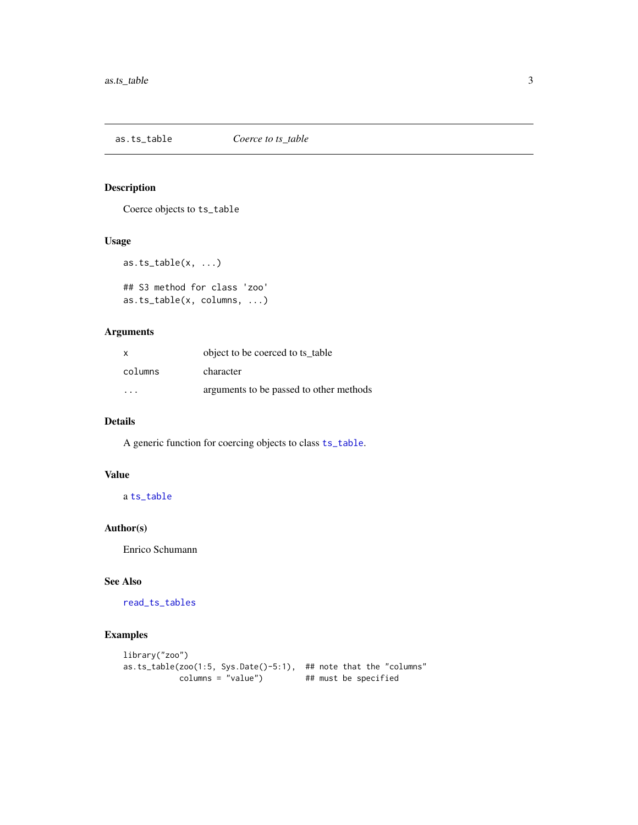<span id="page-2-1"></span><span id="page-2-0"></span>

Coerce objects to ts\_table

#### Usage

```
as.ts_table(x, ...)## S3 method for class 'zoo'
as.ts_table(x, columns, ...)
```
#### Arguments

| X       | object to be coerced to ts table        |
|---------|-----------------------------------------|
| columns | character                               |
| .       | arguments to be passed to other methods |

#### Details

A generic function for coercing objects to class [ts\\_table](#page-6-1).

#### Value

a [ts\\_table](#page-6-1)

#### Author(s)

Enrico Schumann

#### See Also

[read\\_ts\\_tables](#page-4-1)

```
library("zoo")
as.ts_table(zoo(1:5, Sys.Date()-5:1), ## note that the "columns"
           columns = "value") ## must be specified
```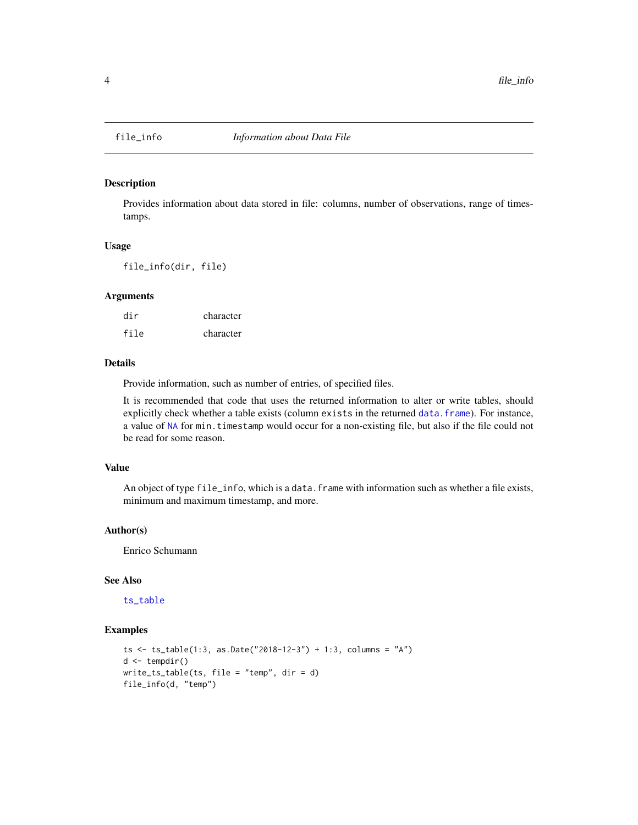<span id="page-3-0"></span>

Provides information about data stored in file: columns, number of observations, range of timestamps.

#### Usage

file\_info(dir, file)

#### Arguments

| dir  | character |
|------|-----------|
| file | character |

#### Details

Provide information, such as number of entries, of specified files.

It is recommended that code that uses the returned information to alter or write tables, should explicitly check whether a table exists (column exists in the returned [data.frame](#page-0-0)). For instance, a value of [NA](#page-0-0) for min.timestamp would occur for a non-existing file, but also if the file could not be read for some reason.

#### Value

An object of type file\_info, which is a data.frame with information such as whether a file exists, minimum and maximum timestamp, and more.

#### Author(s)

Enrico Schumann

#### See Also

#### [ts\\_table](#page-6-1)

```
ts <- ts_table(1:3, as.Date("2018-12-3") + 1:3, columns = "A")
d <- tempdir()
write_ts_table(ts, file = "temp", dir = d)
file_info(d, "temp")
```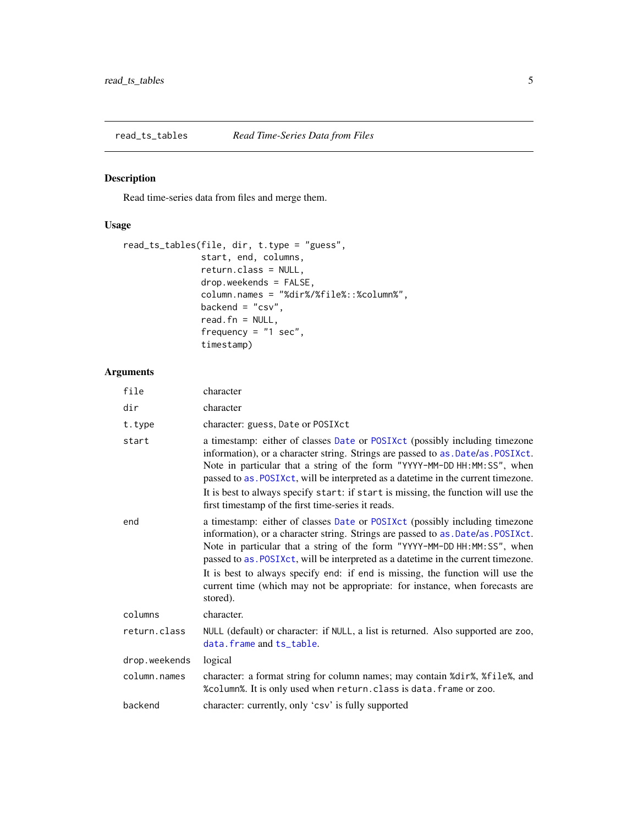<span id="page-4-1"></span><span id="page-4-0"></span>

Read time-series data from files and merge them.

#### Usage

```
read_ts_tables(file, dir, t.type = "guess",
               start, end, columns,
               return.class = NULL,
               drop.weekends = FALSE,
               column.names = "%dir%/%file%::%column%",
               backend = "csv",
               read.fn = NULL,
               frequency = "1 sec",
               timestamp)
```
#### Arguments

| file          | character                                                                                                                                                                                                                                                                                                                                                                                                                                                                                                       |
|---------------|-----------------------------------------------------------------------------------------------------------------------------------------------------------------------------------------------------------------------------------------------------------------------------------------------------------------------------------------------------------------------------------------------------------------------------------------------------------------------------------------------------------------|
| dir           | character                                                                                                                                                                                                                                                                                                                                                                                                                                                                                                       |
| t.type        | character: guess, Date or POSIXct                                                                                                                                                                                                                                                                                                                                                                                                                                                                               |
| start         | a timestamp: either of classes Date or POSIXct (possibly including timezone<br>information), or a character string. Strings are passed to as .Date/as.POSIXct.<br>Note in particular that a string of the form "YYYY-MM-DD HH:MM: SS", when<br>passed to as. POSIXct, will be interpreted as a date time in the current timezone.<br>It is best to always specify start: if start is missing, the function will use the<br>first timestamp of the first time-series it reads.                                   |
| end           | a timestamp: either of classes Date or POSIXct (possibly including timezone<br>information), or a character string. Strings are passed to as .Date/as.POSIXct.<br>Note in particular that a string of the form "YYYY-MM-DD HH:MM: SS", when<br>passed to as. POSIXct, will be interpreted as a date time in the current timezone.<br>It is best to always specify end: if end is missing, the function will use the<br>current time (which may not be appropriate: for instance, when forecasts are<br>stored). |
| columns       | character.                                                                                                                                                                                                                                                                                                                                                                                                                                                                                                      |
| return.class  | NULL (default) or character: if NULL, a list is returned. Also supported are zoo,<br>data. frame and ts table.                                                                                                                                                                                                                                                                                                                                                                                                  |
| drop.weekends | logical                                                                                                                                                                                                                                                                                                                                                                                                                                                                                                         |
| column.names  | character: a format string for column names; may contain %dir%, %file%, and<br>%column%. It is only used when return. class is data. frame or zoo.                                                                                                                                                                                                                                                                                                                                                              |
| backend       | character: currently, only 'csv' is fully supported                                                                                                                                                                                                                                                                                                                                                                                                                                                             |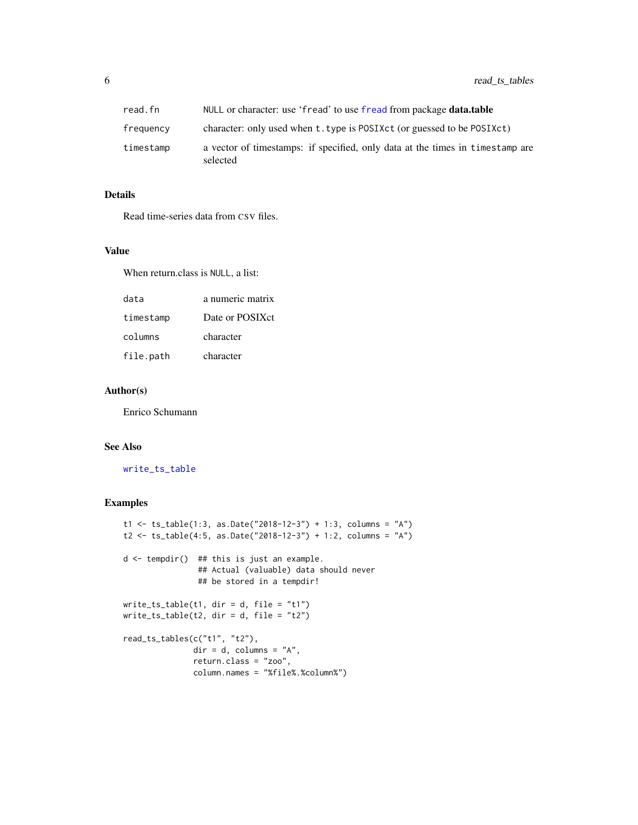<span id="page-5-0"></span>

| read.fn   | NULL or character: use 'fread' to use fread from package <b>data.table</b>                |
|-----------|-------------------------------------------------------------------------------------------|
| frequency | character: only used when t. type is POSIXct (or guessed to be POSIXct)                   |
| timestamp | a vector of timestamps: if specified, only data at the times in timestamp are<br>selected |

#### Details

Read time-series data from CSV files.

#### Value

When return.class is NULL, a list:

| data      | a numeric matrix |
|-----------|------------------|
| timestamp | Date or POSIXct  |
| columns   | character        |
| file.path | character        |

#### Author(s)

Enrico Schumann

#### See Also

[write\\_ts\\_table](#page-8-1)

```
t1 <- ts_table(1:3, as.Date("2018-12-3") + 1:3, columns = "A")
t2 <- ts_table(4:5, as.Date("2018-12-3") + 1:2, columns = "A")
d <- tempdir() ## this is just an example.
               ## Actual (valuable) data should never
               ## be stored in a tempdir!
write_ts_table(t1, dir = d, file = "t1")write_ts_table(t2, dir = d, file = "t2")
read_ts_tables(c("t1", "t2"),
              dir = d, columns = "A",
              return.class = "zoo",
              column.names = "%file%.%column%")
```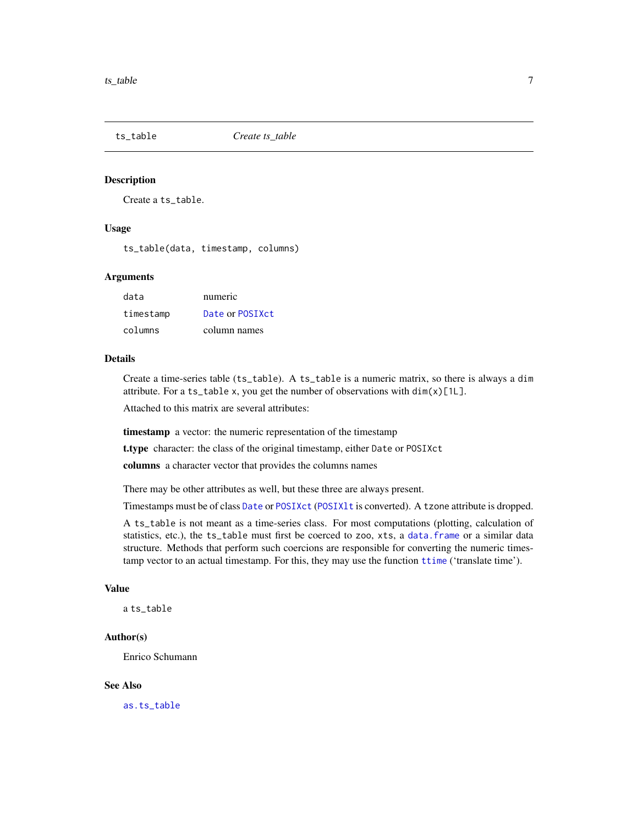<span id="page-6-1"></span><span id="page-6-0"></span>

Create a ts\_table.

#### Usage

ts\_table(data, timestamp, columns)

#### Arguments

| data      | numeric         |
|-----------|-----------------|
| timestamp | Date or POSIXct |
| columns   | column names    |

#### Details

Create a time-series table (ts\_table). A ts\_table is a numeric matrix, so there is always a dim attribute. For a ts\_table x, you get the number of observations with  $dim(x)[1L]$ .

Attached to this matrix are several attributes:

timestamp a vector: the numeric representation of the timestamp

t.type character: the class of the original timestamp, either Date or POSIXct

columns a character vector that provides the columns names

There may be other attributes as well, but these three are always present.

Timestamps must be of class [Date](#page-0-0) or [POSIXct](#page-0-0) ([POSIXlt](#page-0-0) is converted). A tzone attribute is dropped.

A ts\_table is not meant as a time-series class. For most computations (plotting, calculation of statistics, etc.), the ts\_table must first be coerced to zoo, xts, a [data.frame](#page-0-0) or a similar data structure. Methods that perform such coercions are responsible for converting the numeric timestamp vector to an actual timestamp. For this, they may use the function [ttime](#page-7-1) ('translate time').

#### Value

a ts\_table

#### Author(s)

Enrico Schumann

#### See Also

[as.ts\\_table](#page-2-1)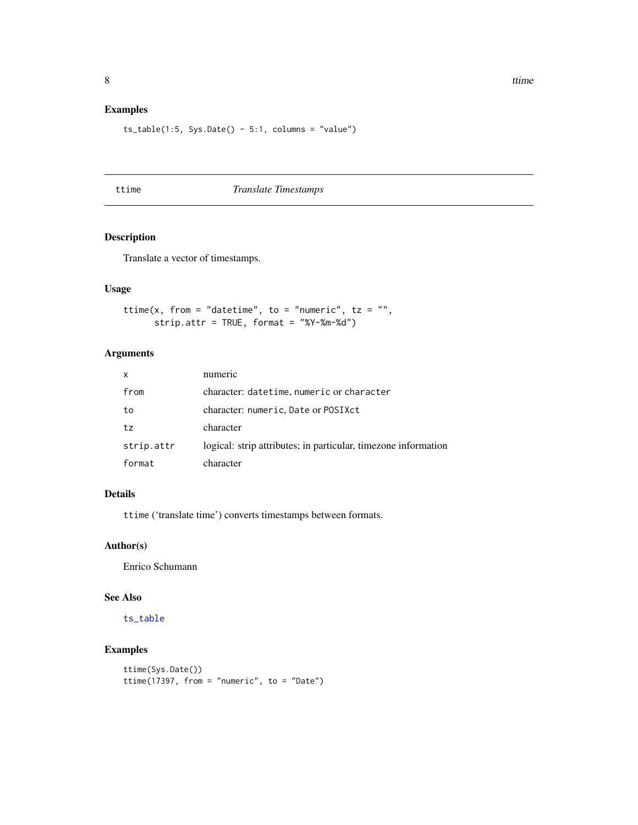#### <span id="page-7-0"></span>Examples

```
ts_table(1:5, Sys.Date() - 5:1, columns = "value")
```
#### <span id="page-7-1"></span>ttime *Translate Timestamps*

#### Description

Translate a vector of timestamps.

#### Usage

ttime(x, from = "datetime", to = "numeric", tz = "", strip.attr = TRUE, format = "%Y-%m-%d")

#### Arguments

| x          | numeric                                                        |
|------------|----------------------------------------------------------------|
| from       | character: datetime, numeric or character                      |
| to         | character: numeric, Date or POSIXct                            |
| tz         | character                                                      |
| strip.attr | logical: strip attributes; in particular, timezone information |
| format     | character                                                      |

#### Details

ttime ('translate time') converts timestamps between formats.

#### Author(s)

Enrico Schumann

#### See Also

#### [ts\\_table](#page-6-1)

```
ttime(Sys.Date())
ttime(17397, from = "numeric", to = "Date")
```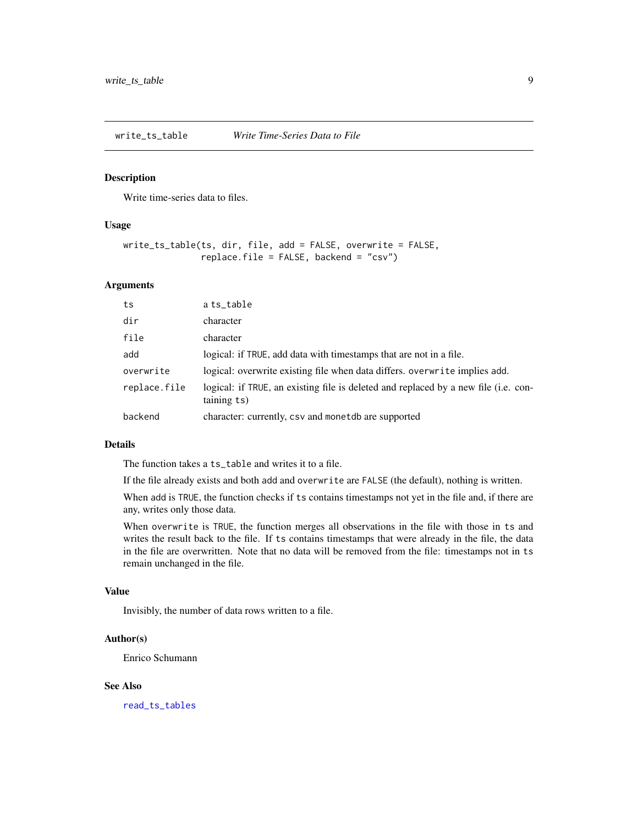<span id="page-8-1"></span><span id="page-8-0"></span>write\_ts\_table *Write Time-Series Data to File*

#### Description

Write time-series data to files.

#### Usage

```
write_ts_table(ts, dir, file, add = FALSE, overwrite = FALSE,
               replace.file = FALSE, backend = "csv")
```
#### Arguments

| ts           | a ts_table                                                                                         |
|--------------|----------------------------------------------------------------------------------------------------|
| dir          | character                                                                                          |
| file         | character                                                                                          |
| add          | logical: if TRUE, add data with timestamps that are not in a file.                                 |
| overwrite    | logical: overwrite existing file when data differs, overwrite implies add.                         |
| replace.file | logical: if TRUE, an existing file is deleted and replaced by a new file (i.e. con-<br>taining ts) |
| backend      | character: currently, csv and monetdb are supported                                                |

#### Details

The function takes a ts\_table and writes it to a file.

If the file already exists and both add and overwrite are FALSE (the default), nothing is written.

When add is TRUE, the function checks if ts contains timestamps not yet in the file and, if there are any, writes only those data.

When overwrite is TRUE, the function merges all observations in the file with those in ts and writes the result back to the file. If ts contains timestamps that were already in the file, the data in the file are overwritten. Note that no data will be removed from the file: timestamps not in ts remain unchanged in the file.

#### Value

Invisibly, the number of data rows written to a file.

#### Author(s)

Enrico Schumann

#### See Also

[read\\_ts\\_tables](#page-4-1)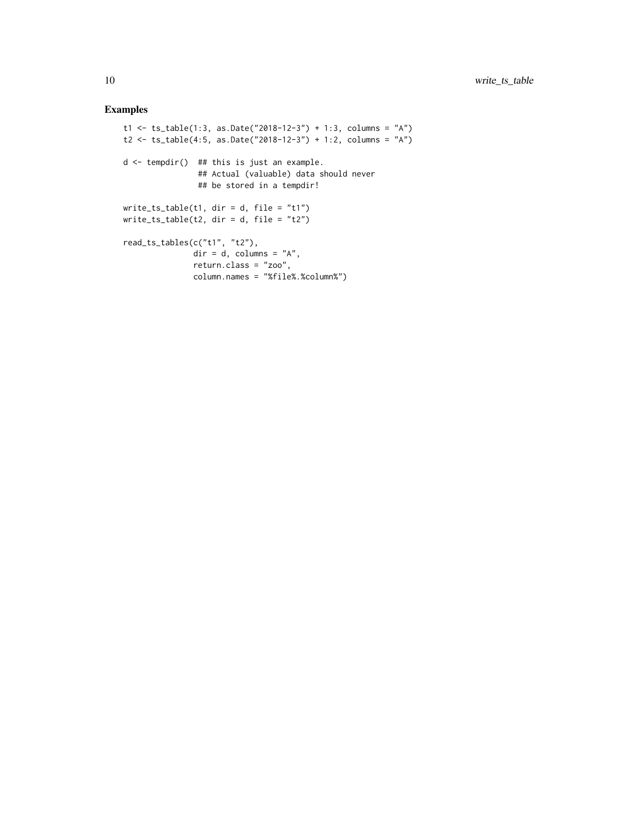```
t1 <- ts_table(1:3, as.Date("2018-12-3") + 1:3, columns = "A")
t2 <- ts_table(4:5, as.Date("2018-12-3") + 1:2, columns = "A")
d <- tempdir() ## this is just an example.
               ## Actual (valuable) data should never
                ## be stored in a tempdir!
write_ts_table(t1, dir = d, file = "t1")
write_ts_table(t2, dir = d, file = "t2")
read_ts_tables(c("t1", "t2"),
              dir = d, columns = "A",
               return.class = "zoo",
               column.names = "%file%.%column%")
```